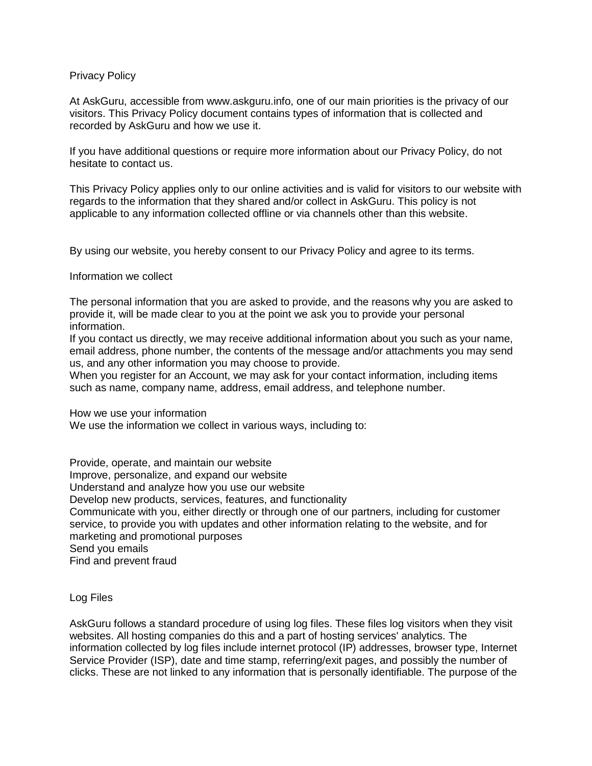## Privacy Policy

At AskGuru, accessible from www.askguru.info, one of our main priorities is the privacy of our visitors. This Privacy Policy document contains types of information that is collected and recorded by AskGuru and how we use it.

If you have additional questions or require more information about our Privacy Policy, do not hesitate to contact us.

This Privacy Policy applies only to our online activities and is valid for visitors to our website with regards to the information that they shared and/or collect in AskGuru. This policy is not applicable to any information collected offline or via channels other than this website.

By using our website, you hereby consent to our Privacy Policy and agree to its terms.

## Information we collect

The personal information that you are asked to provide, and the reasons why you are asked to provide it, will be made clear to you at the point we ask you to provide your personal information.

If you contact us directly, we may receive additional information about you such as your name, email address, phone number, the contents of the message and/or attachments you may send us, and any other information you may choose to provide.

When you register for an Account, we may ask for your contact information, including items such as name, company name, address, email address, and telephone number.

How we use your information

We use the information we collect in various ways, including to:

Provide, operate, and maintain our website Improve, personalize, and expand our website Understand and analyze how you use our website Develop new products, services, features, and functionality Communicate with you, either directly or through one of our partners, including for customer service, to provide you with updates and other information relating to the website, and for marketing and promotional purposes Send you emails Find and prevent fraud

Log Files

AskGuru follows a standard procedure of using log files. These files log visitors when they visit websites. All hosting companies do this and a part of hosting services' analytics. The information collected by log files include internet protocol (IP) addresses, browser type, Internet Service Provider (ISP), date and time stamp, referring/exit pages, and possibly the number of clicks. These are not linked to any information that is personally identifiable. The purpose of the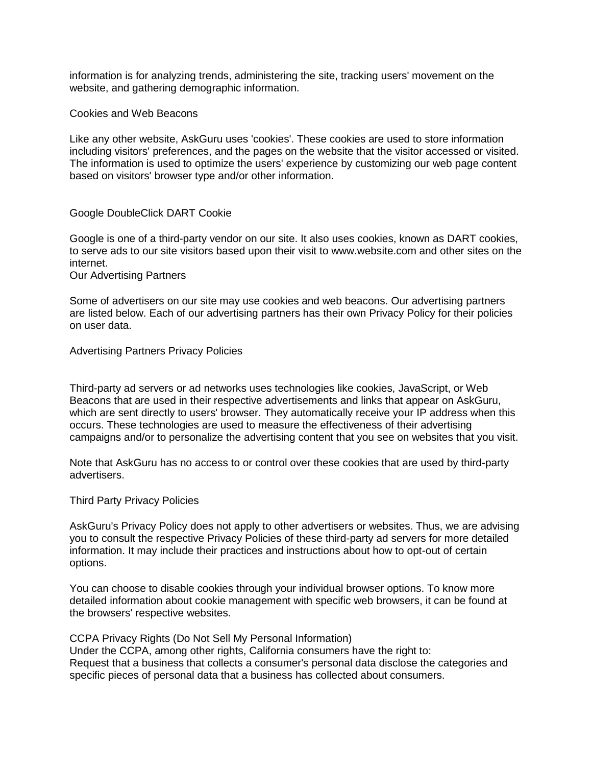information is for analyzing trends, administering the site, tracking users' movement on the website, and gathering demographic information.

Cookies and Web Beacons

Like any other website, AskGuru uses 'cookies'. These cookies are used to store information including visitors' preferences, and the pages on the website that the visitor accessed or visited. The information is used to optimize the users' experience by customizing our web page content based on visitors' browser type and/or other information.

### Google DoubleClick DART Cookie

Google is one of a third-party vendor on our site. It also uses cookies, known as DART cookies, to serve ads to our site visitors based upon their visit to www.website.com and other sites on the internet.

Our Advertising Partners

Some of advertisers on our site may use cookies and web beacons. Our advertising partners are listed below. Each of our advertising partners has their own Privacy Policy for their policies on user data.

Advertising Partners Privacy Policies

Third-party ad servers or ad networks uses technologies like cookies, JavaScript, or Web Beacons that are used in their respective advertisements and links that appear on AskGuru, which are sent directly to users' browser. They automatically receive your IP address when this occurs. These technologies are used to measure the effectiveness of their advertising campaigns and/or to personalize the advertising content that you see on websites that you visit.

Note that AskGuru has no access to or control over these cookies that are used by third-party advertisers.

#### Third Party Privacy Policies

AskGuru's Privacy Policy does not apply to other advertisers or websites. Thus, we are advising you to consult the respective Privacy Policies of these third-party ad servers for more detailed information. It may include their practices and instructions about how to opt-out of certain options.

You can choose to disable cookies through your individual browser options. To know more detailed information about cookie management with specific web browsers, it can be found at the browsers' respective websites.

CCPA Privacy Rights (Do Not Sell My Personal Information) Under the CCPA, among other rights, California consumers have the right to: Request that a business that collects a consumer's personal data disclose the categories and specific pieces of personal data that a business has collected about consumers.